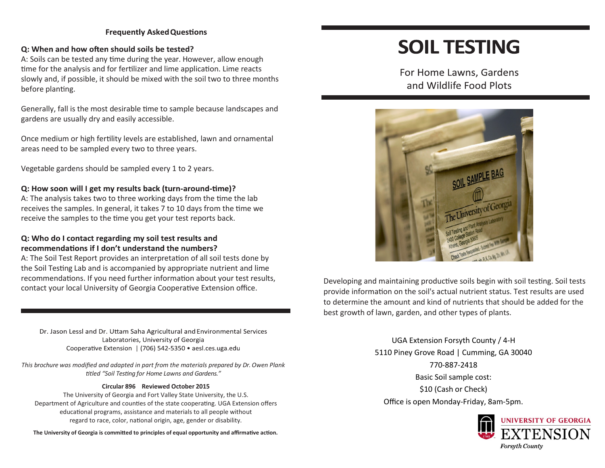# **Frequently Asked Questions**

# Q: When and how often should soils be tested?

A: Soils can be tested any time during the year. However, allow enough time for the analysis and for fertilizer and lime application. Lime reacts slowly and, if possible, it should be mixed with the soil two to three months before planting.

Generally, fall is the most desirable time to sample because landscapes and gardens are usually dry and easily accessible.

Once medium or high fertility levels are established, lawn and ornamental areas need to be sampled every two to three years.

Vegetable gardens should be sampled every 1 to 2 years.

# Q: How soon will I get my results back (turn-around-time)?

A: The analysis takes two to three working days from the time the lab receives the samples. In general, it takes 7 to 10 days from the time we receive the samples to the time you get your test reports back.

# Q: Who do I contact regarding my soil test results and recommendations if I don't understand the numbers?

A: The Soil Test Report provides an interpretation of all soil tests done by the Soil Testing Lab and is accompanied by appropriate nutrient and lime recommendations. If you need further information about your test results, contact your local University of Georgia Cooperative Extension office.

Dr. Jason Lessl and Dr. Uttam Saha Agricultural and Environmental Services Laboratories, University of Georgia Cooperative Extension | (706) 542-5350 · aesl.ces.uga.edu

*This brochure was modified and adapted in part from the materials prepared by Dr. Owen Plank titled "Soil Testing for Home Lawns and Gardens."*

### **Circular 896 Reviewed October 2015**

The University of Georgia and Fort Valley State University, the U.S. Department of Agriculture and counties of the state cooperating. UGA Extension offers educational programs, assistance and materials to all people without regard to race, color, national origin, age, gender or disability.

**The University of Georgia is committed to principles of equal opportunity and affirmative action.**

# **SOIL TESTING**

For Home Lawns, Gardens and Wildlife Food Plots



Developing and maintaining productive soils begin with soil testing. Soil tests provide information on the soil's actual nutrient status. Test results are used to determine the amount and kind of nutrients that should be added for the best growth of lawn, garden, and other types of plants.

> UGA Extension Forsyth County / 4-H 5110 Piney Grove Road | Cumming, GA 30040 770-887-2418 Basic Soil sample cost: \$10 (Cash or Check) Office is open Monday-Friday, 8am-5pm.